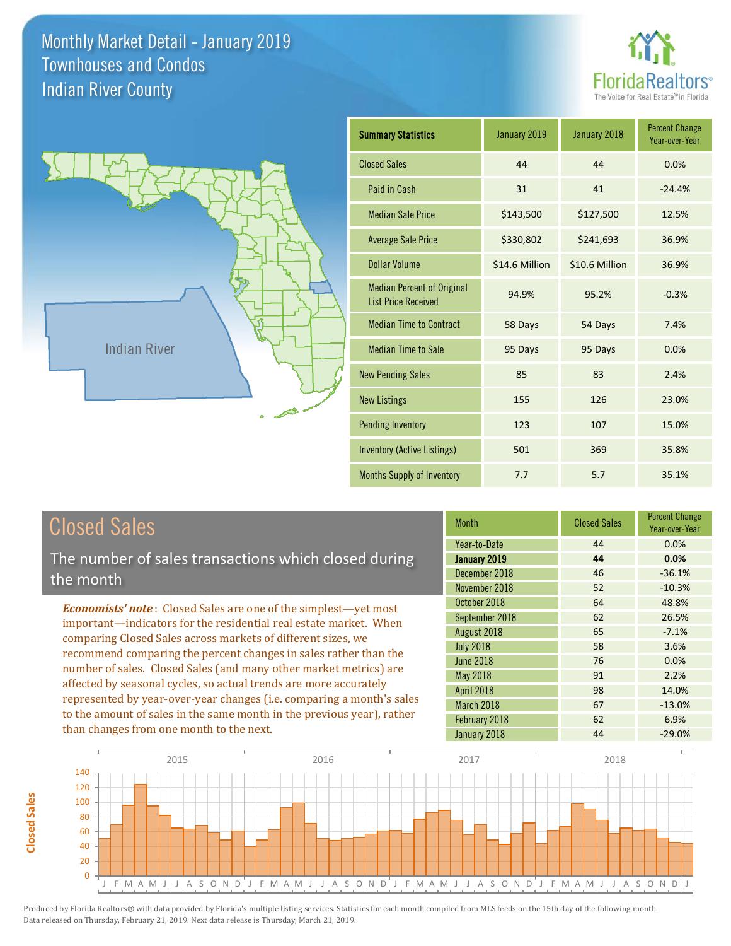



**Closed Sales**

**Closed Sales** 

| <b>Summary Statistics</b>                                       | January 2019   | January 2018   | <b>Percent Change</b><br>Year-over-Year |
|-----------------------------------------------------------------|----------------|----------------|-----------------------------------------|
| <b>Closed Sales</b>                                             | 44             | 44             | 0.0%                                    |
| Paid in Cash                                                    | 31             | 41             | $-24.4%$                                |
| <b>Median Sale Price</b>                                        | \$143,500      | \$127,500      | 12.5%                                   |
| <b>Average Sale Price</b>                                       | \$330,802      | \$241,693      | 36.9%                                   |
| Dollar Volume                                                   | \$14.6 Million | \$10.6 Million | 36.9%                                   |
| <b>Median Percent of Original</b><br><b>List Price Received</b> | 94.9%          | 95.2%          | $-0.3%$                                 |
| <b>Median Time to Contract</b>                                  | 58 Days        | 54 Days        | 7.4%                                    |
| <b>Median Time to Sale</b>                                      | 95 Days        | 95 Days        | 0.0%                                    |
| <b>New Pending Sales</b>                                        | 85             | 83             | 2.4%                                    |
| <b>New Listings</b>                                             | 155            | 126            | 23.0%                                   |
| <b>Pending Inventory</b>                                        | 123            | 107            | 15.0%                                   |
| <b>Inventory (Active Listings)</b>                              | 501            | 369            | 35.8%                                   |
| Months Supply of Inventory                                      | 7.7            | 5.7            | 35.1%                                   |

| <b>Closed Sales</b>                                                                                                                             | <b>Month</b>      | <b>Closed Sales</b> | <b>Percent Change</b><br>Year-over-Year |
|-------------------------------------------------------------------------------------------------------------------------------------------------|-------------------|---------------------|-----------------------------------------|
|                                                                                                                                                 | Year-to-Date      | 44                  | 0.0%                                    |
| The number of sales transactions which closed during                                                                                            | January 2019      | 44                  | 0.0%                                    |
| the month                                                                                                                                       | December 2018     | 46                  | $-36.1%$                                |
|                                                                                                                                                 | November 2018     | 52                  | $-10.3%$                                |
| <b>Economists' note:</b> Closed Sales are one of the simplest—yet most                                                                          | October 2018      | 64                  | 48.8%                                   |
| important-indicators for the residential real estate market. When                                                                               | September 2018    | 62                  | 26.5%                                   |
| comparing Closed Sales across markets of different sizes, we                                                                                    | August 2018       | 65                  | $-7.1%$                                 |
| recommend comparing the percent changes in sales rather than the                                                                                | <b>July 2018</b>  | 58                  | 3.6%                                    |
| number of sales. Closed Sales (and many other market metrics) are                                                                               | <b>June 2018</b>  | 76                  | 0.0%                                    |
|                                                                                                                                                 | <b>May 2018</b>   | 91                  | 2.2%                                    |
| affected by seasonal cycles, so actual trends are more accurately                                                                               | <b>April 2018</b> | 98                  | 14.0%                                   |
| represented by year-over-year changes (i.e. comparing a month's sales<br>to the amount of sales in the same month in the previous year), rather | March 2018        | 67                  | $-13.0%$                                |
|                                                                                                                                                 | February 2018     | 62                  | 6.9%                                    |
| than changes from one month to the next.                                                                                                        | January 2018      | 44                  | $-29.0%$                                |

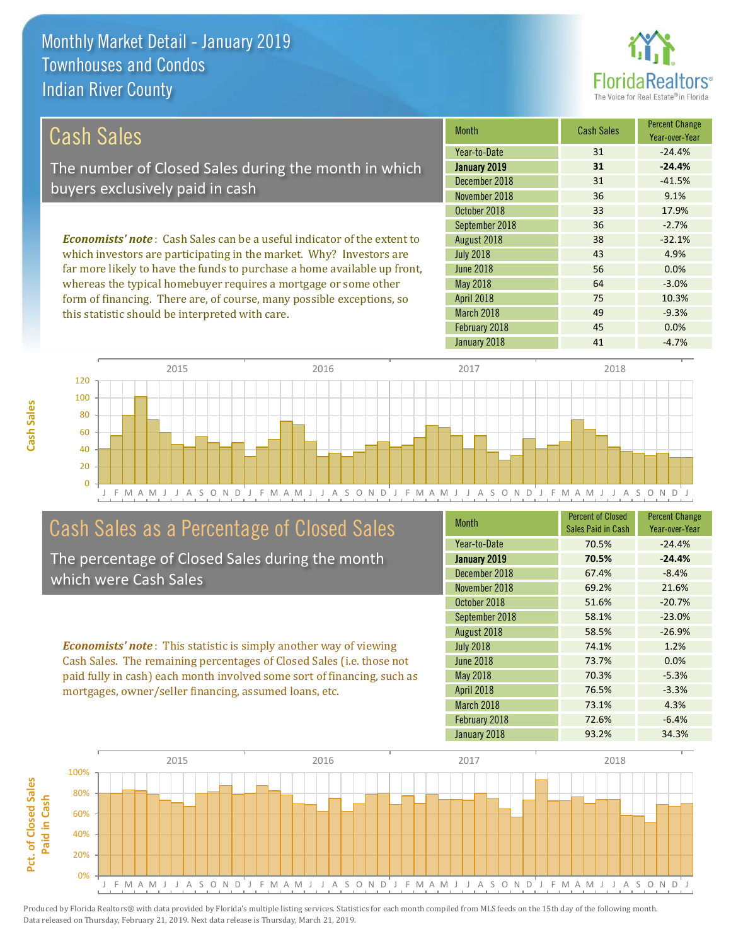this statistic should be interpreted with care.



75 10.3%

49 -9.3%

| Cash Sales                                                                     | <b>Month</b>     | <b>Cash Sales</b> | <b>Percent Change</b><br>Year-over-Year |
|--------------------------------------------------------------------------------|------------------|-------------------|-----------------------------------------|
|                                                                                | Year-to-Date     | 31                | $-24.4%$                                |
| The number of Closed Sales during the month in which                           | January 2019     | 31                | $-24.4%$                                |
| buyers exclusively paid in cash                                                | December 2018    | 31                | $-41.5%$                                |
|                                                                                | November 2018    | 36                | 9.1%                                    |
|                                                                                | October 2018     | 33                | 17.9%                                   |
|                                                                                | September 2018   | 36                | $-2.7%$                                 |
| <b>Economists' note:</b> Cash Sales can be a useful indicator of the extent to | August 2018      | 38                | $-32.1%$                                |
| which investors are participating in the market. Why? Investors are            | <b>July 2018</b> | 43                | 4.9%                                    |
| far more likely to have the funds to purchase a home available up front,       | June 2018        | 56                | 0.0%                                    |
| whereas the typical homebuyer requires a mortgage or some other                | May 2018         | 64                | $-3.0%$                                 |

J F M A M J J A S O N D J F M A M J J A S O N D J F M A M J J A S O N D J F M A M J J A S O N D J 0 20 40 60 80 100 120 2015 2016 2017 2018

# Cash Sales as a Percentage of Closed Sales

form of financing. There are, of course, many possible exceptions, so

The percentage of Closed Sales during the month which were Cash Sales

*Economists' note* : This statistic is simply another way of viewing Cash Sales. The remaining percentages of Closed Sales (i.e. those not paid fully in cash) each month involved some sort of financing, such as mortgages, owner/seller financing, assumed loans, etc.

| <b>Month</b>     | <b>Percent of Closed</b><br>Sales Paid in Cash | <b>Percent Change</b><br>Year-over-Year |
|------------------|------------------------------------------------|-----------------------------------------|
| Year-to-Date     | 70.5%                                          | $-24.4%$                                |
| January 2019     | 70.5%                                          | $-24.4%$                                |
| December 2018    | 67.4%                                          | $-8.4%$                                 |
| November 2018    | 69.2%                                          | 21.6%                                   |
| October 2018     | 51.6%                                          | $-20.7%$                                |
| September 2018   | 58.1%                                          | $-23.0%$                                |
| August 2018      | 58.5%                                          | $-26.9%$                                |
| <b>July 2018</b> | 74.1%                                          | 1.2%                                    |
| June 2018        | 73.7%                                          | 0.0%                                    |
| May 2018         | 70.3%                                          | $-5.3%$                                 |
| April 2018       | 76.5%                                          | $-3.3%$                                 |
| March 2018       | 73.1%                                          | 4.3%                                    |
| February 2018    | 72.6%                                          | $-6.4%$                                 |
| January 2018     | 93.2%                                          | 34.3%                                   |

January 2018 **41** -4.7%

February 2018 **45** 0.0%

March 2018

April 2018

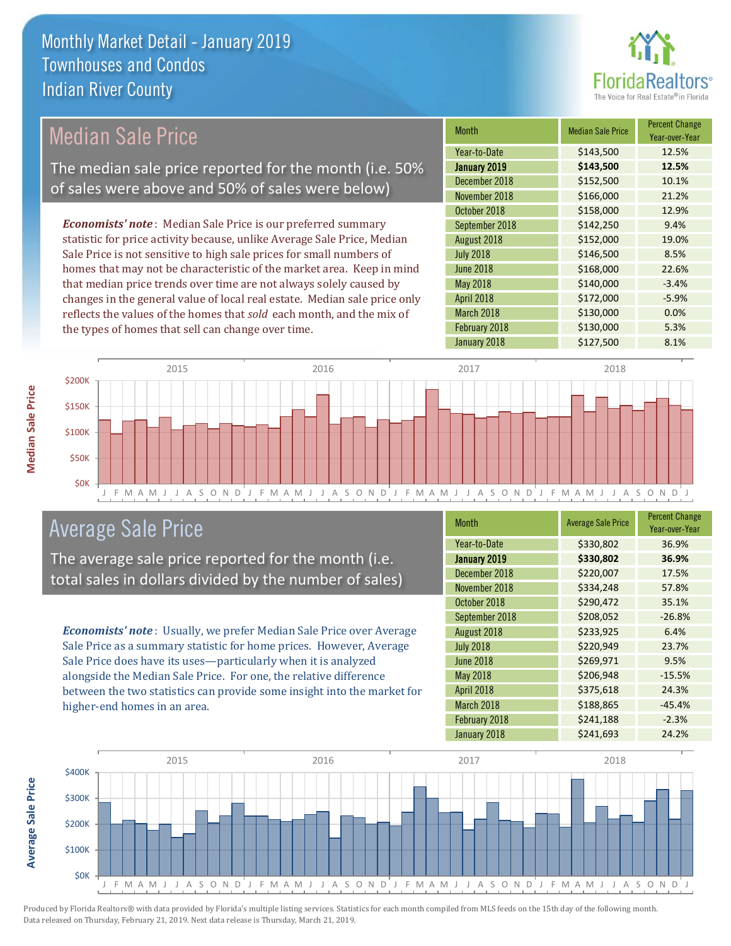

# Median Sale Price

The median sale price reported for the month (i.e. 50% of sales were above and 50% of sales were below)

*Economists' note* : Median Sale Price is our preferred summary statistic for price activity because, unlike Average Sale Price, Median Sale Price is not sensitive to high sale prices for small numbers of homes that may not be characteristic of the market area. Keep in mind that median price trends over time are not always solely caused by changes in the general value of local real estate. Median sale price only reflects the values of the homes that *sold* each month, and the mix of the types of homes that sell can change over time.

| <b>Month</b>     | <b>Median Sale Price</b> | <b>Percent Change</b><br>Year-over-Year |
|------------------|--------------------------|-----------------------------------------|
| Year-to-Date     | \$143,500                | 12.5%                                   |
| January 2019     | \$143,500                | 12.5%                                   |
| December 2018    | \$152,500                | 10.1%                                   |
| November 2018    | \$166,000                | 21.2%                                   |
| October 2018     | \$158,000                | 12.9%                                   |
| September 2018   | \$142,250                | 9.4%                                    |
| August 2018      | \$152,000                | 19.0%                                   |
| <b>July 2018</b> | \$146,500                | 8.5%                                    |
| <b>June 2018</b> | \$168,000                | 22.6%                                   |
| <b>May 2018</b>  | \$140,000                | $-3.4%$                                 |
| April 2018       | \$172,000                | $-5.9%$                                 |
| March 2018       | \$130,000                | 0.0%                                    |
| February 2018    | \$130,000                | 5.3%                                    |
| January 2018     | \$127,500                | 8.1%                                    |



## Average Sale Price

The average sale price reported for the month (i.e. total sales in dollars divided by the number of sales)

*Economists' note* : Usually, we prefer Median Sale Price over Average Sale Price as a summary statistic for home prices. However, Average Sale Price does have its uses—particularly when it is analyzed alongside the Median Sale Price. For one, the relative difference between the two statistics can provide some insight into the market for higher-end homes in an area.

| Month            | <b>Average Sale Price</b> | <b>Percent Change</b><br>Year-over-Year |
|------------------|---------------------------|-----------------------------------------|
| Year-to-Date     | \$330,802                 | 36.9%                                   |
| January 2019     | \$330,802                 | 36.9%                                   |
| December 2018    | \$220,007                 | 17.5%                                   |
| November 2018    | \$334,248                 | 57.8%                                   |
| October 2018     | \$290,472                 | 35.1%                                   |
| September 2018   | \$208,052                 | $-26.8%$                                |
| August 2018      | \$233,925                 | 6.4%                                    |
| <b>July 2018</b> | \$220,949                 | 23.7%                                   |
| <b>June 2018</b> | \$269,971                 | 9.5%                                    |
| May 2018         | \$206,948                 | $-15.5%$                                |
| April 2018       | \$375,618                 | 24.3%                                   |
| March 2018       | \$188,865                 | $-45.4%$                                |
| February 2018    | \$241,188                 | $-2.3%$                                 |
| January 2018     | \$241,693                 | 24.2%                                   |



Produced by Florida Realtors® with data provided by Florida's multiple listing services. Statistics for each month compiled from MLS feeds on the 15th day of the following month. Data released on Thursday, February 21, 2019. Next data release is Thursday, March 21, 2019.

**Average Sale Price**

Average Sale Price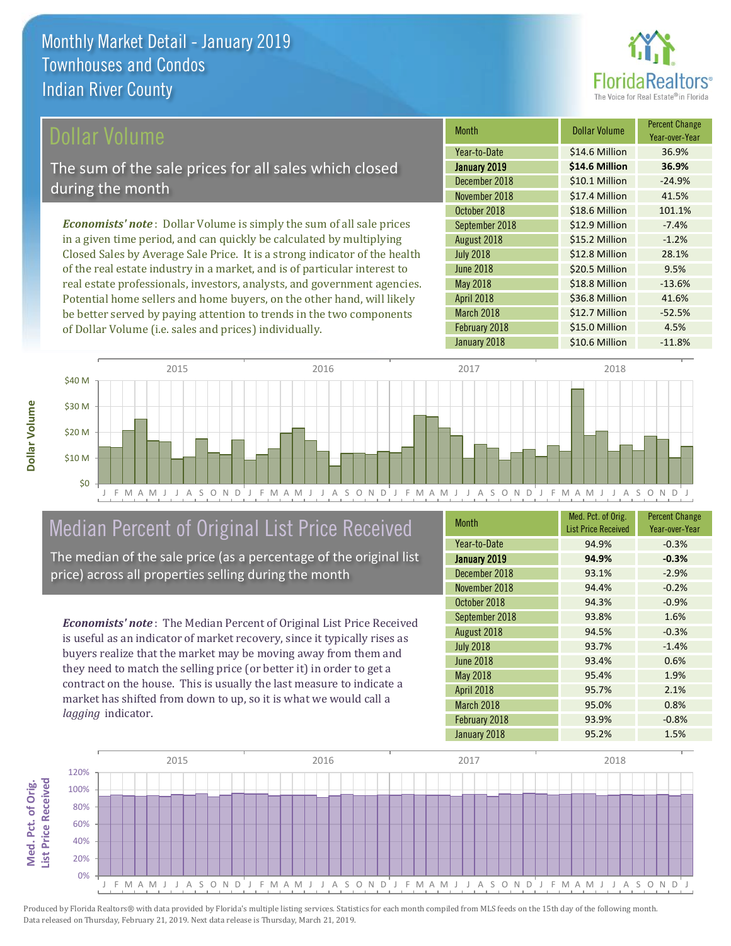

## ollar Volume

The sum of the sale prices for all sales which closed during the month

*Economists' note* : Dollar Volume is simply the sum of all sale prices in a given time period, and can quickly be calculated by multiplying Closed Sales by Average Sale Price. It is a strong indicator of the health of the real estate industry in a market, and is of particular interest to real estate professionals, investors, analysts, and government agencies. Potential home sellers and home buyers, on the other hand, will likely be better served by paying attention to trends in the two components of Dollar Volume (i.e. sales and prices) individually.

| <b>Month</b>     | Dollar Volume  | <b>Percent Change</b><br>Year-over-Year |
|------------------|----------------|-----------------------------------------|
| Year-to-Date     | \$14.6 Million | 36.9%                                   |
| January 2019     | \$14.6 Million | 36.9%                                   |
| December 2018    | \$10.1 Million | $-24.9%$                                |
| November 2018    | \$17.4 Million | 41.5%                                   |
| October 2018     | \$18.6 Million | 101.1%                                  |
| September 2018   | \$12.9 Million | $-7.4%$                                 |
| August 2018      | \$15.2 Million | $-1.2%$                                 |
| <b>July 2018</b> | \$12.8 Million | 28.1%                                   |
| <b>June 2018</b> | \$20.5 Million | 9.5%                                    |
| May 2018         | \$18.8 Million | $-13.6%$                                |
| April 2018       | \$36.8 Million | 41.6%                                   |
| March 2018       | \$12.7 Million | $-52.5%$                                |
| February 2018    | \$15.0 Million | 4.5%                                    |
| January 2018     | \$10.6 Million | $-11.8%$                                |



# Median Percent of Original List Price Received

The median of the sale price (as a percentage of the original list price) across all properties selling during the month

*Economists' note* : The Median Percent of Original List Price Received is useful as an indicator of market recovery, since it typically rises as buyers realize that the market may be moving away from them and they need to match the selling price (or better it) in order to get a contract on the house. This is usually the last measure to indicate a market has shifted from down to up, so it is what we would call a *lagging* indicator.

| <b>Month</b>      | Med. Pct. of Orig.<br><b>List Price Received</b> | <b>Percent Change</b><br>Year-over-Year |
|-------------------|--------------------------------------------------|-----------------------------------------|
| Year-to-Date      | 94.9%                                            | $-0.3%$                                 |
| January 2019      | 94.9%                                            | $-0.3%$                                 |
| December 2018     | 93.1%                                            | $-2.9%$                                 |
| November 2018     | 94.4%                                            | $-0.2%$                                 |
| October 2018      | 94.3%                                            | $-0.9%$                                 |
| September 2018    | 93.8%                                            | 1.6%                                    |
| August 2018       | 94.5%                                            | $-0.3%$                                 |
| <b>July 2018</b>  | 93.7%                                            | $-1.4%$                                 |
| <b>June 2018</b>  | 93.4%                                            | 0.6%                                    |
| <b>May 2018</b>   | 95.4%                                            | 1.9%                                    |
| <b>April 2018</b> | 95.7%                                            | 2.1%                                    |
| March 2018        | 95.0%                                            | 0.8%                                    |
| February 2018     | 93.9%                                            | $-0.8%$                                 |
| January 2018      | 95.2%                                            | 1.5%                                    |

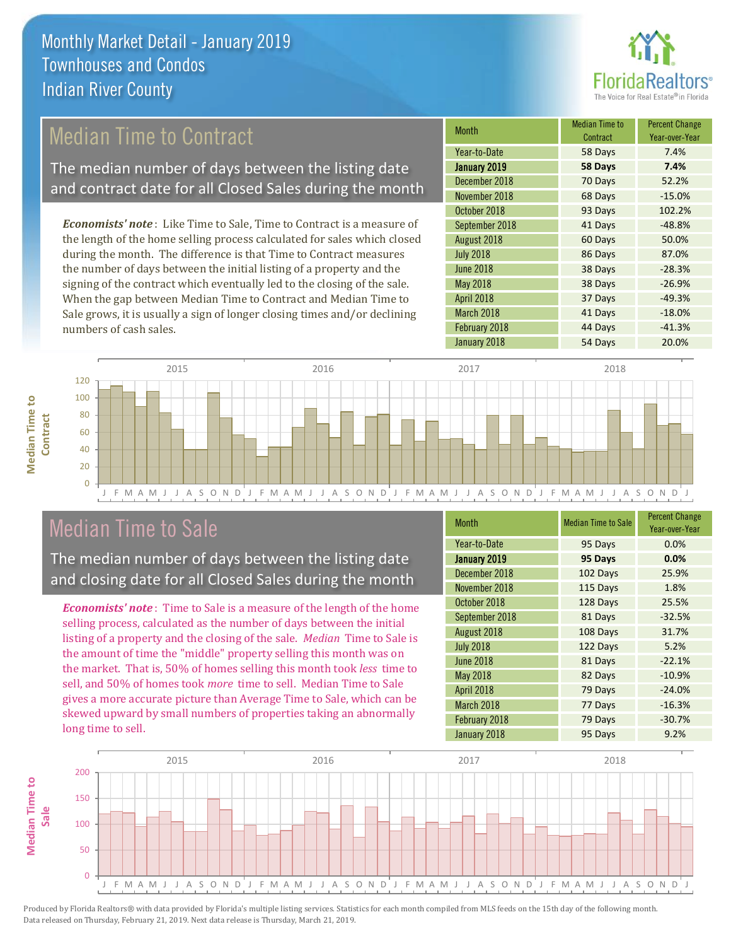

# Median Time to Contract

The median number of days between the listing date and contract date for all Closed Sales during the month

*Economists' note* : Like Time to Sale, Time to Contract is a measure of the length of the home selling process calculated for sales which closed during the month. The difference is that Time to Contract measures the number of days between the initial listing of a property and the signing of the contract which eventually led to the closing of the sale. When the gap between Median Time to Contract and Median Time to Sale grows, it is usually a sign of longer closing times and/or declining numbers of cash sales.

| Month            | <b>Median Time to</b><br>Contract | <b>Percent Change</b><br>Year-over-Year |
|------------------|-----------------------------------|-----------------------------------------|
| Year-to-Date     | 58 Days                           | 7.4%                                    |
| January 2019     | 58 Days                           | 7.4%                                    |
| December 2018    | 70 Days                           | 52.2%                                   |
| November 2018    | 68 Days                           | $-15.0%$                                |
| October 2018     | 93 Days                           | 102.2%                                  |
| September 2018   | 41 Days                           | $-48.8%$                                |
| August 2018      | 60 Days                           | 50.0%                                   |
| <b>July 2018</b> | 86 Days                           | 87.0%                                   |
| <b>June 2018</b> | 38 Days                           | $-28.3%$                                |
| May 2018         | 38 Days                           | $-26.9%$                                |
| April 2018       | 37 Days                           | $-49.3%$                                |
| March 2018       | 41 Days                           | $-18.0%$                                |
| February 2018    | 44 Days                           | $-41.3%$                                |
| January 2018     | 54 Days                           | 20.0%                                   |



## Median Time to Sale

**Median Time to** 

**Median Time to** 

The median number of days between the listing date and closing date for all Closed Sales during the month

*Economists' note* : Time to Sale is a measure of the length of the home selling process, calculated as the number of days between the initial listing of a property and the closing of the sale. *Median* Time to Sale is the amount of time the "middle" property selling this month was on the market. That is, 50% of homes selling this month took *less* time to sell, and 50% of homes took *more* time to sell. Median Time to Sale gives a more accurate picture than Average Time to Sale, which can be skewed upward by small numbers of properties taking an abnormally long time to sell.

| <b>Month</b>     | <b>Median Time to Sale</b> | <b>Percent Change</b><br>Year-over-Year |
|------------------|----------------------------|-----------------------------------------|
| Year-to-Date     | 95 Days                    | 0.0%                                    |
| January 2019     | 95 Days                    | 0.0%                                    |
| December 2018    | 102 Days                   | 25.9%                                   |
| November 2018    | 115 Days                   | 1.8%                                    |
| October 2018     | 128 Days                   | 25.5%                                   |
| September 2018   | 81 Days                    | $-32.5%$                                |
| August 2018      | 108 Days                   | 31.7%                                   |
| <b>July 2018</b> | 122 Days                   | 5.2%                                    |
| <b>June 2018</b> | 81 Days                    | $-22.1%$                                |
| May 2018         | 82 Days                    | $-10.9%$                                |
| April 2018       | 79 Days                    | $-24.0%$                                |
| March 2018       | 77 Days                    | $-16.3%$                                |
| February 2018    | 79 Days                    | $-30.7%$                                |
| January 2018     | 95 Days                    | 9.2%                                    |

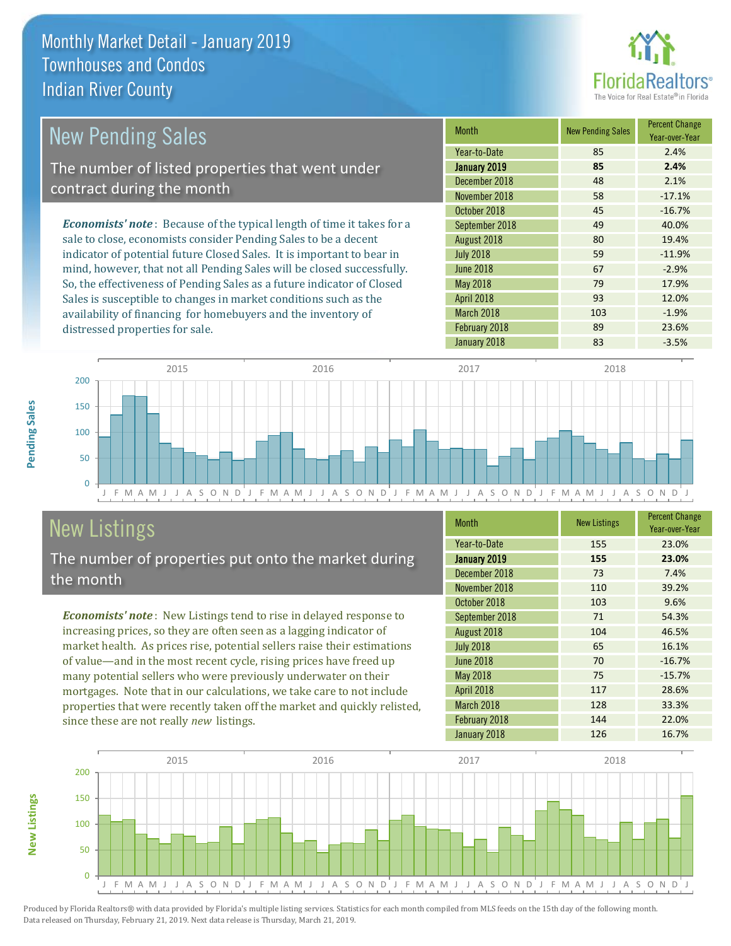

| New Pending Sales                                                              | <b>Month</b>      | <b>New Pending Sales</b> | <b>Percent Change</b><br>Year-over-Year |
|--------------------------------------------------------------------------------|-------------------|--------------------------|-----------------------------------------|
|                                                                                | Year-to-Date      | 85                       | 2.4%                                    |
| The number of listed properties that went under                                | January 2019      | 85                       | 2.4%                                    |
| contract during the month                                                      | December 2018     | 48                       | 2.1%                                    |
|                                                                                | November 2018     | 58                       | $-17.1%$                                |
|                                                                                | October 2018      | 45                       | $-16.7%$                                |
| <b>Economists' note</b> : Because of the typical length of time it takes for a | September 2018    | 49                       | 40.0%                                   |
| sale to close, economists consider Pending Sales to be a decent                | August 2018       | 80                       | 19.4%                                   |
| indicator of potential future Closed Sales. It is important to bear in         | <b>July 2018</b>  | 59                       | $-11.9%$                                |
| mind, however, that not all Pending Sales will be closed successfully.         | <b>June 2018</b>  | 67                       | $-2.9%$                                 |
| So, the effectiveness of Pending Sales as a future indicator of Closed         | May 2018          | 79                       | 17.9%                                   |
| Sales is susceptible to changes in market conditions such as the               | <b>April 2018</b> | 93                       | 12.0%                                   |



# New Listings

distressed properties for sale.

The number of properties put onto the market during the month

availability of financing for homebuyers and the inventory of

*Economists' note* : New Listings tend to rise in delayed response to increasing prices, so they are often seen as a lagging indicator of market health. As prices rise, potential sellers raise their estimations of value—and in the most recent cycle, rising prices have freed up many potential sellers who were previously underwater on their mortgages. Note that in our calculations, we take care to not include properties that were recently taken off the market and quickly relisted, since these are not really *new* listings.

| <b>Month</b>     | <b>New Listings</b> | <b>Percent Change</b><br>Year-over-Year |
|------------------|---------------------|-----------------------------------------|
| Year-to-Date     | 155                 | 23.0%                                   |
| January 2019     | 155                 | 23.0%                                   |
| December 2018    | 73                  | 7.4%                                    |
| November 2018    | 110                 | 39.2%                                   |
| October 2018     | 103                 | 9.6%                                    |
| September 2018   | 71                  | 54.3%                                   |
| August 2018      | 104                 | 46.5%                                   |
| <b>July 2018</b> | 65                  | 16.1%                                   |
| <b>June 2018</b> | 70                  | $-16.7%$                                |
| May 2018         | 75                  | $-15.7%$                                |
| April 2018       | 117                 | 28.6%                                   |
| March 2018       | 128                 | 33.3%                                   |
| February 2018    | 144                 | 22.0%                                   |
| January 2018     | 126                 | 16.7%                                   |

March 2018 103 -1.9% February 2018 **89 23.6%** 



Produced by Florida Realtors® with data provided by Florida's multiple listing services. Statistics for each month compiled from MLS feeds on the 15th day of the following month. Data released on Thursday, February 21, 2019. Next data release is Thursday, March 21, 2019.

**New Listings**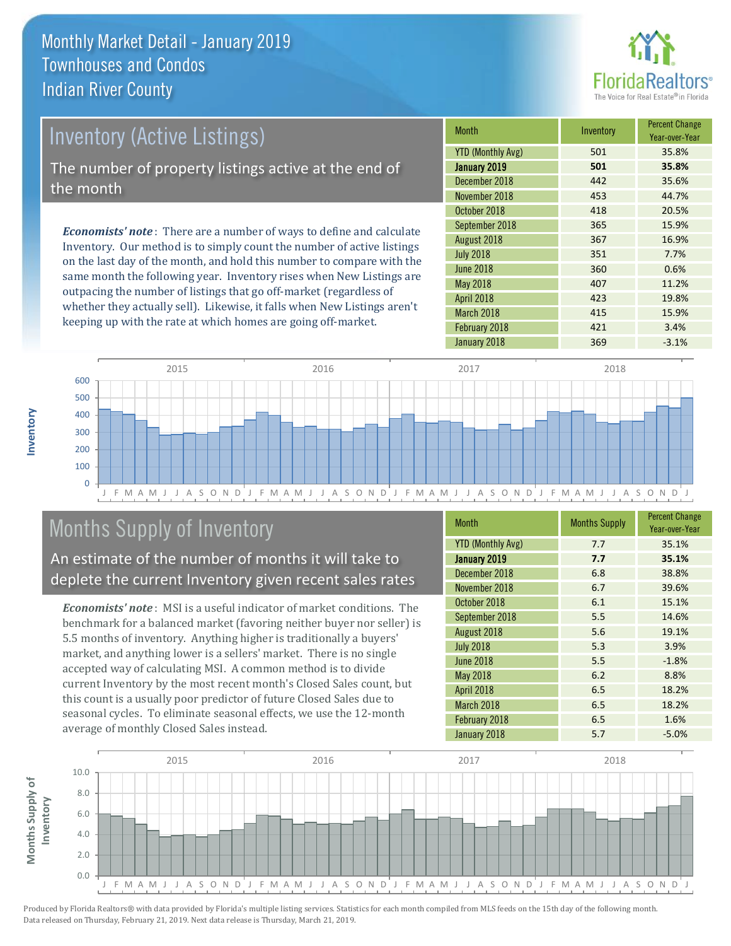

# Inventory (Active Listings) The number of property listings active at the end of the month

*Economists' note* : There are a number of ways to define and calculate Inventory. Our method is to simply count the number of active listings on the last day of the month, and hold this number to compare with the same month the following year. Inventory rises when New Listings are outpacing the number of listings that go off-market (regardless of whether they actually sell). Likewise, it falls when New Listings aren't keeping up with the rate at which homes are going off-market.

| <b>Month</b>             | Inventory | <b>Percent Change</b><br>Year-over-Year |
|--------------------------|-----------|-----------------------------------------|
| <b>YTD (Monthly Avg)</b> | 501       | 35.8%                                   |
| January 2019             | 501       | 35.8%                                   |
| December 2018            | 442       | 35.6%                                   |
| November 2018            | 453       | 44.7%                                   |
| October 2018             | 418       | 20.5%                                   |
| September 2018           | 365       | 15.9%                                   |
| August 2018              | 367       | 16.9%                                   |
| <b>July 2018</b>         | 351       | 7.7%                                    |
| <b>June 2018</b>         | 360       | 0.6%                                    |
| <b>May 2018</b>          | 407       | 11.2%                                   |
| <b>April 2018</b>        | 423       | 19.8%                                   |
| March 2018               | 415       | 15.9%                                   |
| February 2018            | 421       | 3.4%                                    |
| January 2018             | 369       | $-3.1%$                                 |



# Months Supply of Inventory

An estimate of the number of months it will take to deplete the current Inventory given recent sales rates

*Economists' note* : MSI is a useful indicator of market conditions. The benchmark for a balanced market (favoring neither buyer nor seller) is 5.5 months of inventory. Anything higher is traditionally a buyers' market, and anything lower is a sellers' market. There is no single accepted way of calculating MSI. A common method is to divide current Inventory by the most recent month's Closed Sales count, but this count is a usually poor predictor of future Closed Sales due to seasonal cycles. To eliminate seasonal effects, we use the 12-month average of monthly Closed Sales instead.

| <b>Month</b>             | <b>Months Supply</b> | <b>Percent Change</b><br>Year-over-Year |
|--------------------------|----------------------|-----------------------------------------|
| <b>YTD (Monthly Avg)</b> | 7.7                  | 35.1%                                   |
| January 2019             | 7.7                  | 35.1%                                   |
| December 2018            | 6.8                  | 38.8%                                   |
| November 2018            | 6.7                  | 39.6%                                   |
| October 2018             | 6.1                  | 15.1%                                   |
| September 2018           | 5.5                  | 14.6%                                   |
| August 2018              | 5.6                  | 19.1%                                   |
| <b>July 2018</b>         | 5.3                  | 3.9%                                    |
| <b>June 2018</b>         | 5.5                  | $-1.8%$                                 |
| May 2018                 | 6.2                  | 8.8%                                    |
| April 2018               | 6.5                  | 18.2%                                   |
| March 2018               | 6.5                  | 18.2%                                   |
| February 2018            | 6.5                  | 1.6%                                    |
| January 2018             | 5.7                  | $-5.0%$                                 |

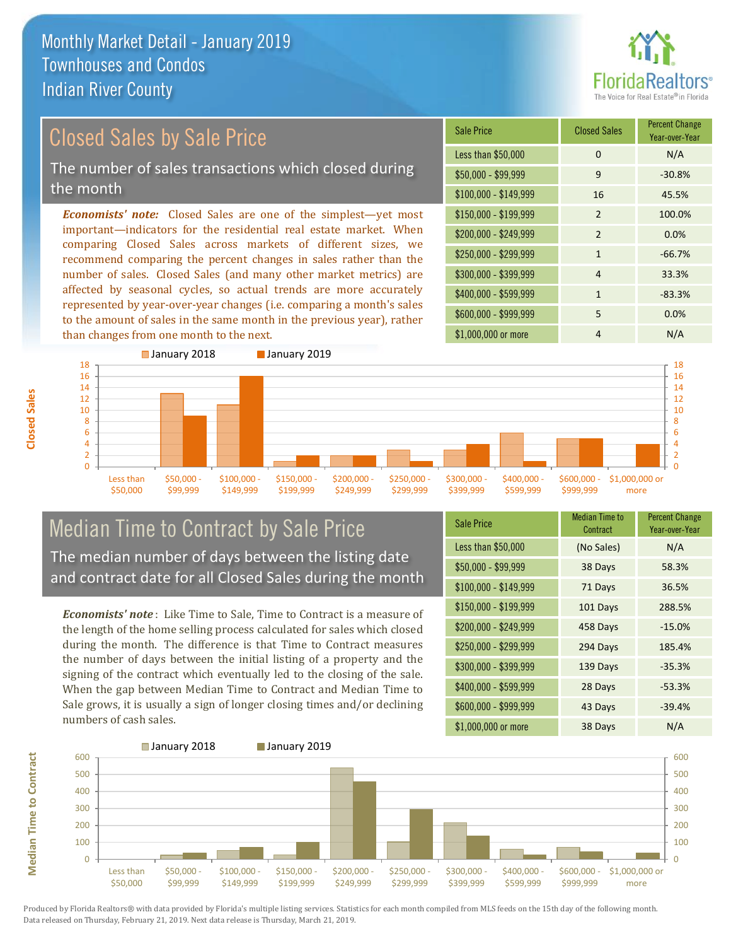

# Closed Sales by Sale Price

The number of sales transactions which closed during the month

*Economists' note:* Closed Sales are one of the simplest—yet most important—indicators for the residential real estate market. When comparing Closed Sales across markets of different sizes, we recommend comparing the percent changes in sales rather than the number of sales. Closed Sales (and many other market metrics) are affected by seasonal cycles, so actual trends are more accurately represented by year-over-year changes (i.e. comparing a month's sales to the amount of sales in the same month in the previous year), rather than changes from one month to the next.





## Median Time to Contract by Sale Price The median number of days between the listing date and contract date for all Closed Sales during the month

*Economists' note* : Like Time to Sale, Time to Contract is a measure of the length of the home selling process calculated for sales which closed during the month. The difference is that Time to Contract measures the number of days between the initial listing of a property and the signing of the contract which eventually led to the closing of the sale. When the gap between Median Time to Contract and Median Time to Sale grows, it is usually a sign of longer closing times and/or declining numbers of cash sales.

| <b>Sale Price</b>     | <b>Median Time to</b><br>Contract | <b>Percent Change</b><br>Year-over-Year |
|-----------------------|-----------------------------------|-----------------------------------------|
| Less than \$50,000    | (No Sales)                        | N/A                                     |
| $$50,000 - $99,999$   | 38 Days                           | 58.3%                                   |
| $$100,000 - $149,999$ | 71 Days                           | 36.5%                                   |
| \$150,000 - \$199,999 | 101 Days                          | 288.5%                                  |
| \$200,000 - \$249,999 | 458 Days                          | $-15.0%$                                |
| \$250,000 - \$299,999 | 294 Days                          | 185.4%                                  |
| \$300,000 - \$399,999 | 139 Days                          | $-35.3%$                                |
| \$400,000 - \$599,999 | 28 Days                           | $-53.3%$                                |
| \$600,000 - \$999,999 | 43 Days                           | $-39.4%$                                |
| \$1,000,000 or more   | 38 Days                           | N/A                                     |



**Closed Sales**

**Median Time to Contract Median Time to Contract**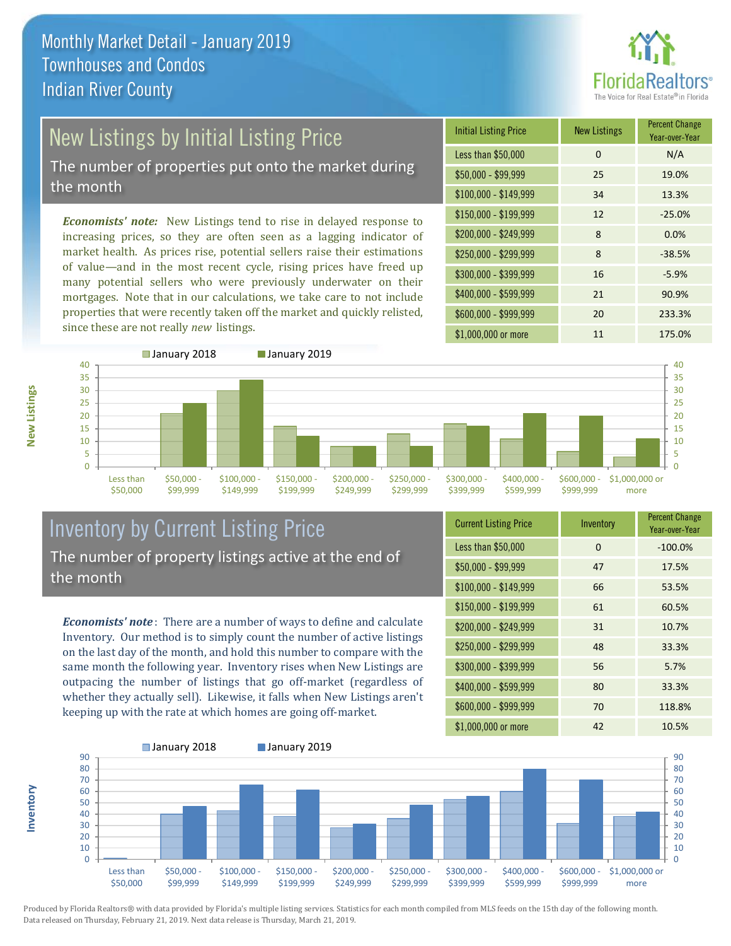

# New Listings by Initial Listing Price

The number of properties put onto the market during the month

*Economists' note:* New Listings tend to rise in delayed response to increasing prices, so they are often seen as a lagging indicator of market health. As prices rise, potential sellers raise their estimations of value—and in the most recent cycle, rising prices have freed up many potential sellers who were previously underwater on their mortgages. Note that in our calculations, we take care to not include properties that were recently taken off the market and quickly relisted, since these are not really *new* listings.

| <b>Initial Listing Price</b> | <b>New Listings</b> | <b>Percent Change</b><br>Year-over-Year |
|------------------------------|---------------------|-----------------------------------------|
| Less than \$50,000           | $\Omega$            | N/A                                     |
| $$50,000 - $99,999$          | 25                  | 19.0%                                   |
| $$100,000 - $149,999$        | 34                  | 13.3%                                   |
| $$150,000 - $199,999$        | 12                  | $-25.0%$                                |
| \$200,000 - \$249,999        | 8                   | 0.0%                                    |
| \$250,000 - \$299,999        | 8                   | $-38.5%$                                |
| \$300,000 - \$399,999        | 16                  | $-5.9%$                                 |
| \$400,000 - \$599,999        | 21                  | 90.9%                                   |
| \$600,000 - \$999,999        | 20                  | 233.3%                                  |
| \$1,000,000 or more          | 11                  | 175.0%                                  |



## Inventory by Current Listing Price The number of property listings active at the end of the month

*Economists' note* : There are a number of ways to define and calculate Inventory. Our method is to simply count the number of active listings on the last day of the month, and hold this number to compare with the same month the following year. Inventory rises when New Listings are outpacing the number of listings that go off-market (regardless of whether they actually sell). Likewise, it falls when New Listings aren't keeping up with the rate at which homes are going off-market.

| <b>Current Listing Price</b> | Inventory | <b>Percent Change</b><br>Year-over-Year |
|------------------------------|-----------|-----------------------------------------|
| Less than \$50,000           | $\Omega$  | $-100.0%$                               |
| $$50,000 - $99,999$          | 47        | 17.5%                                   |
| $$100,000 - $149,999$        | 66        | 53.5%                                   |
| $$150,000 - $199,999$        | 61        | 60.5%                                   |
| \$200,000 - \$249,999        | 31        | 10.7%                                   |
| \$250,000 - \$299,999        | 48        | 33.3%                                   |
| \$300,000 - \$399,999        | 56        | 5.7%                                    |
| \$400,000 - \$599,999        | 80        | 33.3%                                   |
| \$600,000 - \$999,999        | 70        | 118.8%                                  |
| \$1,000,000 or more          | 42        | 10.5%                                   |



Produced by Florida Realtors® with data provided by Florida's multiple listing services. Statistics for each month compiled from MLS feeds on the 15th day of the following month. Data released on Thursday, February 21, 2019. Next data release is Thursday, March 21, 2019.

**Inventory**